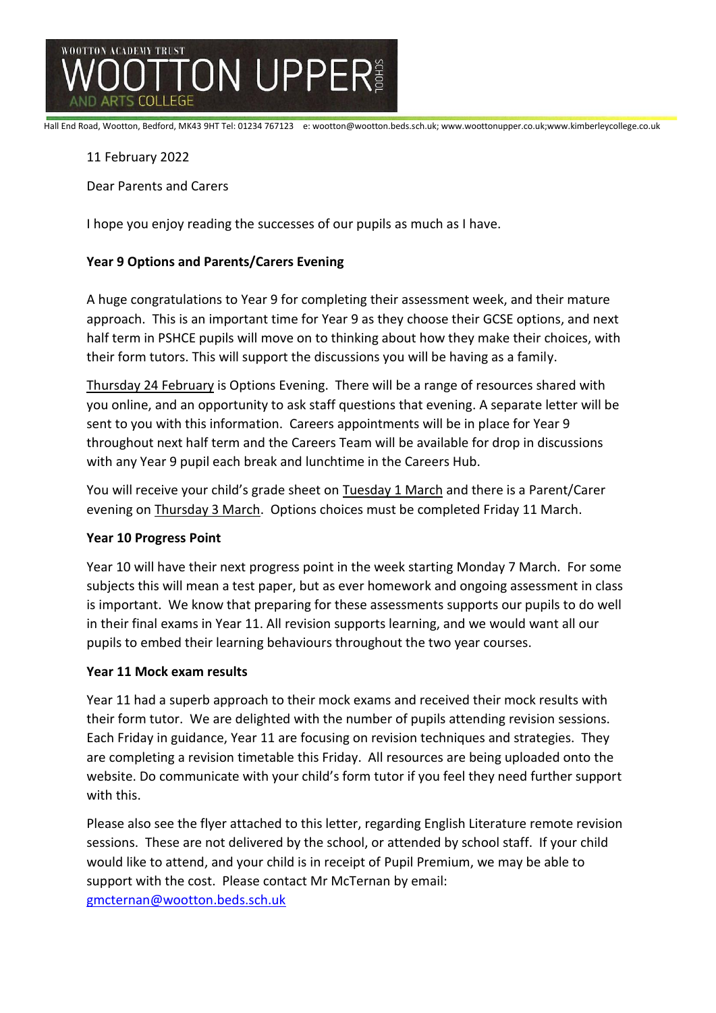

Hall End Road, Wootton, Bedford, MK43 9HT Tel: 01234 767123 e: wootton@wootton.beds.sch.uk; www.woottonupper.co.uk;www.kimberleycollege.co.uk

### 11 February 2022

Dear Parents and Carers

I hope you enjoy reading the successes of our pupils as much as I have.

### **Year 9 Options and Parents/Carers Evening**

A huge congratulations to Year 9 for completing their assessment week, and their mature approach. This is an important time for Year 9 as they choose their GCSE options, and next half term in PSHCE pupils will move on to thinking about how they make their choices, with their form tutors. This will support the discussions you will be having as a family.

Thursday 24 February is Options Evening. There will be a range of resources shared with you online, and an opportunity to ask staff questions that evening. A separate letter will be sent to you with this information. Careers appointments will be in place for Year 9 throughout next half term and the Careers Team will be available for drop in discussions with any Year 9 pupil each break and lunchtime in the Careers Hub.

You will receive your child's grade sheet on Tuesday 1 March and there is a Parent/Carer evening on Thursday 3 March. Options choices must be completed Friday 11 March.

#### **Year 10 Progress Point**

Year 10 will have their next progress point in the week starting Monday 7 March. For some subjects this will mean a test paper, but as ever homework and ongoing assessment in class is important. We know that preparing for these assessments supports our pupils to do well in their final exams in Year 11. All revision supports learning, and we would want all our pupils to embed their learning behaviours throughout the two year courses.

#### **Year 11 Mock exam results**

Year 11 had a superb approach to their mock exams and received their mock results with their form tutor. We are delighted with the number of pupils attending revision sessions. Each Friday in guidance, Year 11 are focusing on revision techniques and strategies. They are completing a revision timetable this Friday. All resources are being uploaded onto the website. Do communicate with your child's form tutor if you feel they need further support with this.

Please also see the flyer attached to this letter, regarding English Literature remote revision sessions. These are not delivered by the school, or attended by school staff. If your child would like to attend, and your child is in receipt of Pupil Premium, we may be able to support with the cost. Please contact Mr McTernan by email: [gmcternan@wootton.beds.sch.uk](mailto:gmcternan@wootton.beds.sch.uk)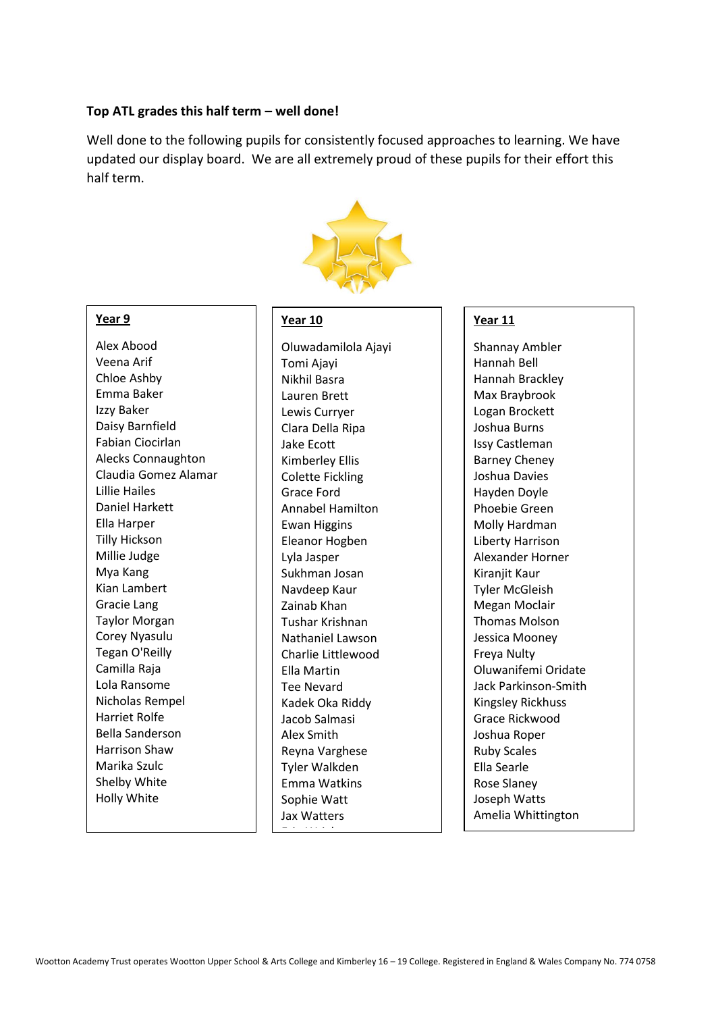#### **Top ATL grades this half term – well done!**

Well done to the following pupils for consistently focused approaches to learning. We have updated our display board. We are all extremely proud of these pupils for their effort this half term.



#### **Year 9**

Alex Abood Veena Arif Chloe Ashby Emma Baker Izzy Baker Daisy Barnfield Fabian Ciocirlan Alecks Connaughton Claudia Gomez Alamar Lillie Hailes Daniel Harkett Ella Harper Tilly Hickson Millie Judge Mya Kang Kian Lambert Gracie Lang Taylor Morgan Corey Nyasulu Tegan O'Reilly Camilla Raja Lola Ransome Nicholas Rempel Harriet Rolfe Bella Sanderson Harrison Shaw Marika Szulc Shelby White Holly White

#### **Year 10**

Oluwadamilola Ajayi Tomi Ajayi Nikhil Basra Lauren Brett Lewis Curryer Clara Della Ripa Jake Ecott Kimberley Ellis Colette Fickling Grace Ford Annabel Hamilton Ewan Higgins Eleanor Hogben Lyla Jasper Sukhman Josan Navdeep Kaur Zainab Khan Tushar Krishnan Nathaniel Lawson Charlie Littlewood Ella Martin Tee Nevard Kadek Oka Riddy Jacob Salmasi Alex Smith Reyna Varghese Tyler Walkden Emma Watkins Sophie Watt Jax Watters <u>Erin Wright II</u><br>T

#### **Year 11**

Shannay Ambler Hannah Bell Hannah Brackley Max Braybrook Logan Brockett Joshua Burns Issy Castleman Barney Cheney Joshua Davies Hayden Doyle Phoebie Green Molly Hardman Liberty Harrison Alexander Horner Kiranjit Kaur Tyler McGleish Megan Moclair Thomas Molson Jessica Mooney Freya Nulty Oluwanifemi Oridate Jack Parkinson-Smith Kingsley Rickhuss Grace Rickwood Joshua Roper Ruby Scales Ella Searle Rose Slaney Joseph Watts Amelia Whittington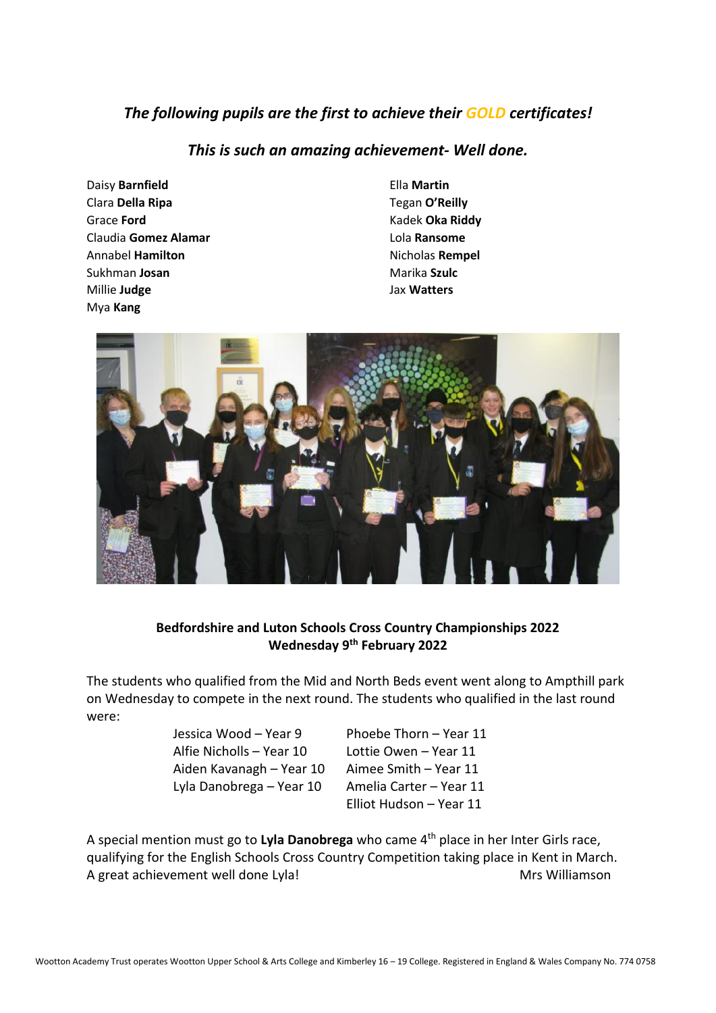# *The following pupils are the first to achieve their GOLD certificates!*

## *This is such an amazing achievement- Well done.*

- Daisy **Barnfield** Ella **Martin Clara Della Ripa** Tegan **O'Reilly** Grace **Ford** Kadek **Oka Riddy** Claudia **Gomez Alamar** Lola **Ransome** Annabel **Hamilton Nicholas Rempel Sukhman Josan** Marika Szulc Millie **Judge** Jax **Watters** Mya **Kang**
- 



### **Bedfordshire and Luton Schools Cross Country Championships 2022 Wednesday 9th February 2022**

The students who qualified from the Mid and North Beds event went along to Ampthill park on Wednesday to compete in the next round. The students who qualified in the last round were:

> Jessica Wood – Year 9 Phoebe Thorn – Year 11 Alfie Nicholls – Year 10 Lottie Owen – Year 11 Aiden Kavanagh – Year 10 Aimee Smith – Year 11 Lyla Danobrega – Year 10 Amelia Carter – Year 11

Elliot Hudson – Year 11

A special mention must go to **Lyla Danobrega** who came 4th place in her Inter Girls race, qualifying for the English Schools Cross Country Competition taking place in Kent in March. A great achievement well done Lyla! Mrs Williamson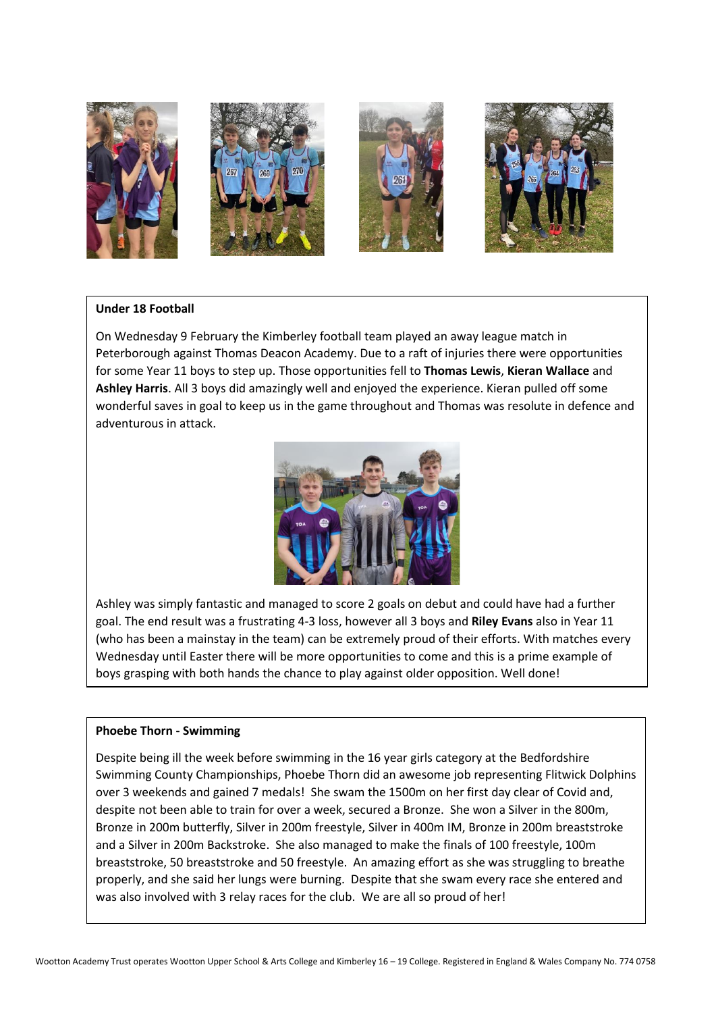

#### **Under 18 Football**

On Wednesday 9 February the Kimberley football team played an away league match in Peterborough against Thomas Deacon Academy. Due to a raft of injuries there were opportunities for some Year 11 boys to step up. Those opportunities fell to **Thomas Lewis**, **Kieran Wallace** and **Ashley Harris**. All 3 boys did amazingly well and enjoyed the experience. Kieran pulled off some wonderful saves in goal to keep us in the game throughout and Thomas was resolute in defence and adventurous in attack.



Ashley was simply fantastic and managed to score 2 goals on debut and could have had a further goal. The end result was a frustrating 4-3 loss, however all 3 boys and **Riley Evans** also in Year 11 (who has been a mainstay in the team) can be extremely proud of their efforts. With matches every Wednesday until Easter there will be more opportunities to come and this is a prime example of boys grasping with both hands the chance to play against older opposition. Well done!

#### **Phoebe Thorn - Swimming**

Despite being ill the week before swimming in the 16 year girls category at the Bedfordshire Swimming County Championships, Phoebe Thorn did an awesome job representing Flitwick Dolphins over 3 weekends and gained 7 medals! She swam the 1500m on her first day clear of Covid and, despite not been able to train for over a week, secured a Bronze. She won a Silver in the 800m, Bronze in 200m butterfly, Silver in 200m freestyle, Silver in 400m IM, Bronze in 200m breaststroke and a Silver in 200m Backstroke. She also managed to make the finals of 100 freestyle, 100m breaststroke, 50 breaststroke and 50 freestyle. An amazing effort as she was struggling to breathe properly, and she said her lungs were burning. Despite that she swam every race she entered and was also involved with 3 relay races for the club. We are all so proud of her!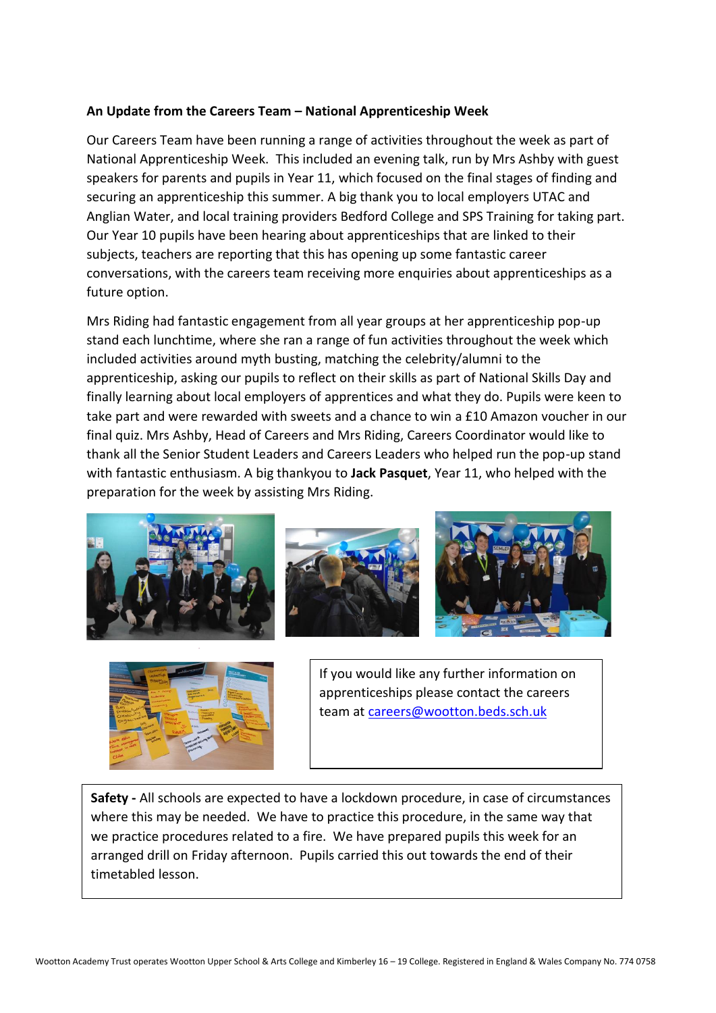### **An Update from the Careers Team – National Apprenticeship Week**

Our Careers Team have been running a range of activities throughout the week as part of National Apprenticeship Week. This included an evening talk, run by Mrs Ashby with guest speakers for parents and pupils in Year 11, which focused on the final stages of finding and securing an apprenticeship this summer. A big thank you to local employers UTAC and Anglian Water, and local training providers Bedford College and SPS Training for taking part. Our Year 10 pupils have been hearing about apprenticeships that are linked to their subjects, teachers are reporting that this has opening up some fantastic career conversations, with the careers team receiving more enquiries about apprenticeships as a future option.

Mrs Riding had fantastic engagement from all year groups at her apprenticeship pop-up stand each lunchtime, where she ran a range of fun activities throughout the week which included activities around myth busting, matching the celebrity/alumni to the apprenticeship, asking our pupils to reflect on their skills as part of National Skills Day and finally learning about local employers of apprentices and what they do. Pupils were keen to take part and were rewarded with sweets and a chance to win a £10 Amazon voucher in our final quiz. Mrs Ashby, Head of Careers and Mrs Riding, Careers Coordinator would like to thank all the Senior Student Leaders and Careers Leaders who helped run the pop-up stand with fantastic enthusiasm. A big thankyou to **Jack Pasquet**, Year 11, who helped with the preparation for the week by assisting Mrs Riding.









If you would like any further information on apprenticeships please contact the careers team at [careers@wootton.beds.sch.uk](mailto:careers@wootton.beds.sch.uk)

**Safety -** All schools are expected to have a lockdown procedure, in case of circumstances where this may be needed. We have to practice this procedure, in the same way that we practice procedures related to a fire. We have prepared pupils this week for an arranged drill on Friday afternoon. Pupils carried this out towards the end of their timetabled lesson.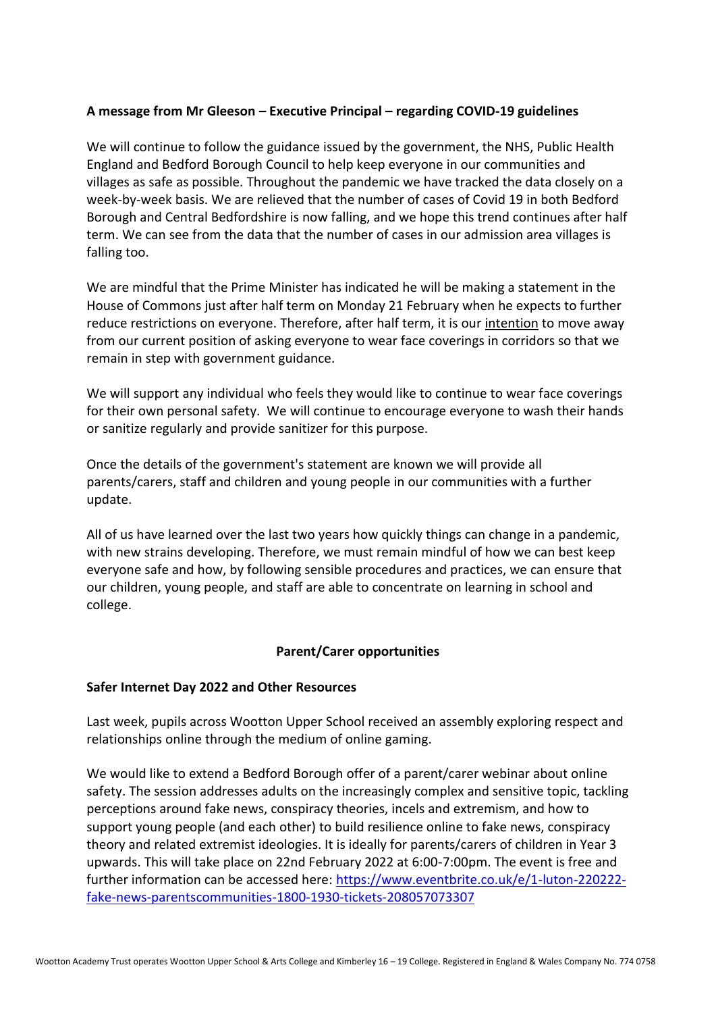### **A message from Mr Gleeson – Executive Principal – regarding COVID-19 guidelines**

We will continue to follow the guidance issued by the government, the NHS, Public Health England and Bedford Borough Council to help keep everyone in our communities and villages as safe as possible. Throughout the pandemic we have tracked the data closely on a week-by-week basis. We are relieved that the number of cases of Covid 19 in both Bedford Borough and Central Bedfordshire is now falling, and we hope this trend continues after half term. We can see from the data that the number of cases in our admission area villages is falling too.

We are mindful that the Prime Minister has indicated he will be making a statement in the House of Commons just after half term on Monday 21 February when he expects to further reduce restrictions on everyone. Therefore, after half term, it is our intention to move away from our current position of asking everyone to wear face coverings in corridors so that we remain in step with government guidance.

We will support any individual who feels they would like to continue to wear face coverings for their own personal safety. We will continue to encourage everyone to wash their hands or sanitize regularly and provide sanitizer for this purpose.

Once the details of the government's statement are known we will provide all parents/carers, staff and children and young people in our communities with a further update.

All of us have learned over the last two years how quickly things can change in a pandemic, with new strains developing. Therefore, we must remain mindful of how we can best keep everyone safe and how, by following sensible procedures and practices, we can ensure that our children, young people, and staff are able to concentrate on learning in school and college.

### **Parent/Carer opportunities**

#### **Safer Internet Day 2022 and Other Resources**

Last week, pupils across Wootton Upper School received an assembly exploring respect and relationships online through the medium of online gaming.

We would like to extend a Bedford Borough offer of a parent/carer webinar about online safety. The session addresses adults on the increasingly complex and sensitive topic, tackling perceptions around fake news, conspiracy theories, incels and extremism, and how to support young people (and each other) to build resilience online to fake news, conspiracy theory and related extremist ideologies. It is ideally for parents/carers of children in Year 3 upwards. This will take place on 22nd February 2022 at 6:00-7:00pm. The event is free and further information can be accessed here: [https://www.eventbrite.co.uk/e/1-luton-220222](https://www.eventbrite.co.uk/e/1-luton-220222-fake-news-parentscommunities-1800-1930-tickets-208057073307) [fake-news-parentscommunities-1800-1930-tickets-208057073307](https://www.eventbrite.co.uk/e/1-luton-220222-fake-news-parentscommunities-1800-1930-tickets-208057073307)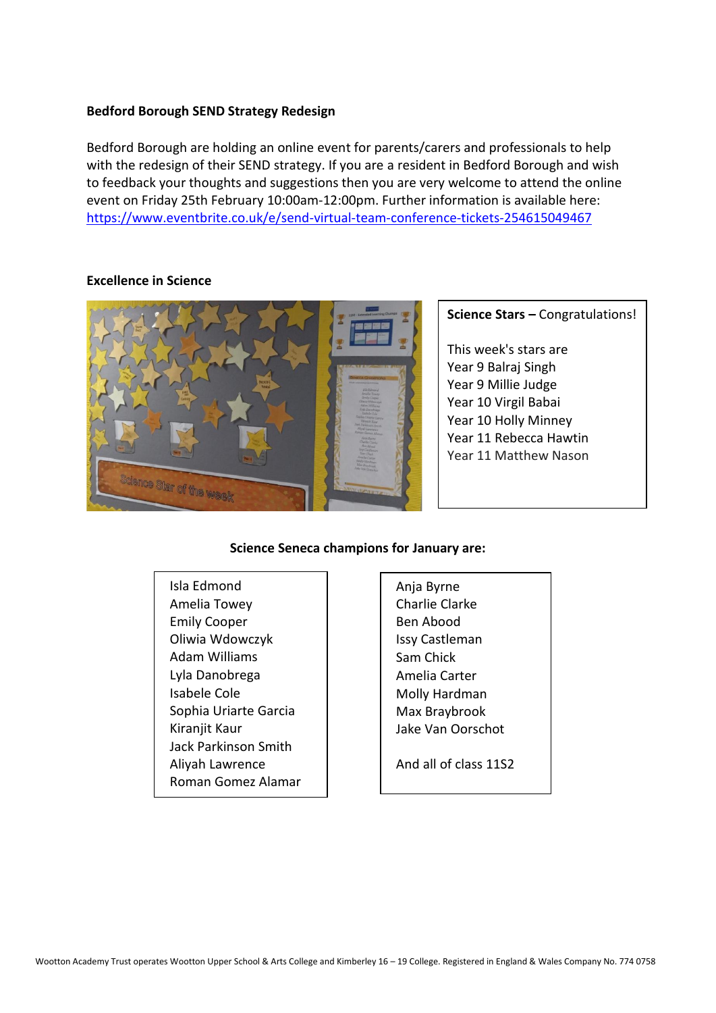### **Bedford Borough SEND Strategy Redesign**

Bedford Borough are holding an online event for parents/carers and professionals to help with the redesign of their SEND strategy. If you are a resident in Bedford Borough and wish to feedback your thoughts and suggestions then you are very welcome to attend the online event on Friday 25th February 10:00am-12:00pm. Further information is available here: <https://www.eventbrite.co.uk/e/send-virtual-team-conference-tickets-254615049467>



#### **Excellence in Science**

### **Science Stars –** Congratulations!

This week's stars are Year 9 Balraj Singh Year 9 Millie Judge Year 10 Virgil Babai Year 10 Holly Minney Year 11 Rebecca Hawtin Year 11 Matthew Nason

#### **Science Seneca champions for January are:**

- Isla Edmond Amelia Towey Emily Cooper Oliwia Wdowczyk Adam Williams Lyla Danobrega Isabele Cole Sophia Uriarte Garcia Kiranjit Kaur Jack Parkinson Smith Aliyah Lawrence Roman Gomez Alamar
- Anja Byrne Charlie Clarke Ben Abood Issy Castleman Sam Chick Amelia Carter Molly Hardman Max Braybrook Jake Van Oorschot

And all of class 11S2